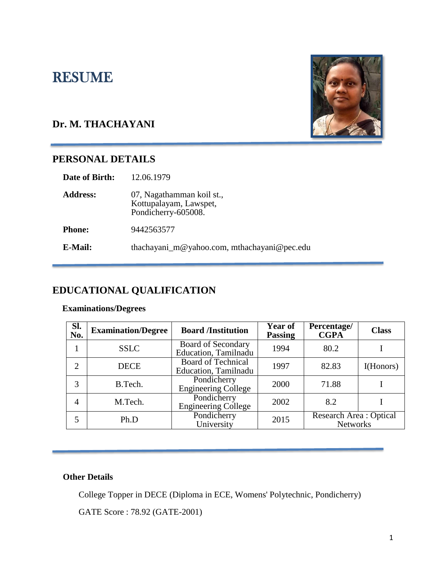# RESUME

# **Dr. M. THACHAYANI**

# **PERSONAL DETAILS**

| 12.06.1979                                                                 |
|----------------------------------------------------------------------------|
| 07, Nagathamman koil st.,<br>Kottupalayam, Lawspet,<br>Pondicherry-605008. |
| 9442563577                                                                 |
| thachayani_m@yahoo.com, mthachayani@pec.edu                                |
|                                                                            |

# **EDUCATIONAL QUALIFICATION**

#### **Examinations/Degrees**

| Sl.<br>No.     | <b>Examination/Degree</b> | <b>Board /Institution</b>                         | Year of<br><b>Passing</b> | Percentage/<br><b>CGPA</b>                 | <b>Class</b> |
|----------------|---------------------------|---------------------------------------------------|---------------------------|--------------------------------------------|--------------|
|                | <b>SSLC</b>               | <b>Board of Secondary</b><br>Education, Tamilnadu | 1994                      | 80.2                                       |              |
| $\overline{2}$ | <b>DECE</b>               | <b>Board of Technical</b><br>Education, Tamilnadu | 1997                      | 82.83                                      | I(Honors)    |
| 3              | B.Tech.                   | Pondicherry<br><b>Engineering College</b>         | 2000                      | 71.88                                      |              |
| 4              | M.Tech.                   | Pondicherry<br><b>Engineering College</b>         | 2002                      | 8.2                                        |              |
| 5              | Ph.D                      | Pondicherry<br>University                         | 2015                      | Research Area : Optical<br><b>Networks</b> |              |

### **Other Details**

College Topper in DECE (Diploma in ECE, Womens' Polytechnic, Pondicherry)

GATE Score : 78.92 (GATE-2001)

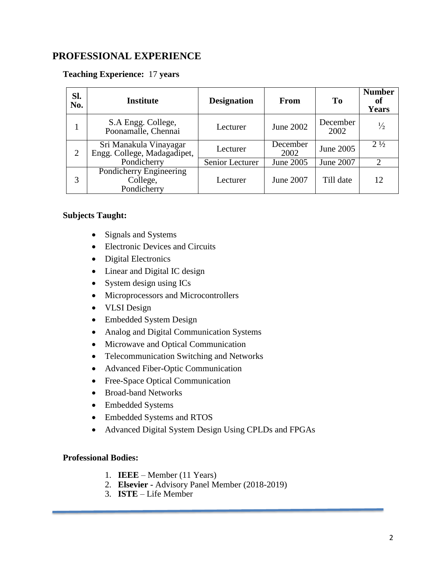### **PROFESSIONAL EXPERIENCE**

#### **Teaching Experience:** 17 **years**

| SI.<br>No.     | Institute                                             | <b>Designation</b> | From             | To               | <b>Number</b><br>of<br><b>Years</b> |
|----------------|-------------------------------------------------------|--------------------|------------------|------------------|-------------------------------------|
|                | S.A Engg. College,<br>Poonamalle, Chennai             | Lecturer           | June 2002        | December<br>2002 | $\frac{1}{2}$                       |
| $\overline{2}$ | Sri Manakula Vinayagar<br>Engg. College, Madagadipet, | Lecturer           | December<br>2002 | June 2005        | $2\frac{1}{2}$                      |
|                | Pondicherry                                           | Senior Lecturer    | June 2005        | June 2007        |                                     |
| 3              | Pondicherry Engineering<br>College,<br>Pondicherry    | Lecturer           | June 2007        | Till date        | 12                                  |

#### **Subjects Taught:**

- Signals and Systems
- Electronic Devices and Circuits
- Digital Electronics
- Linear and Digital IC design
- System design using ICs
- Microprocessors and Microcontrollers
- VLSI Design
- Embedded System Design
- Analog and Digital Communication Systems
- Microwave and Optical Communication
- Telecommunication Switching and Networks
- Advanced Fiber-Optic Communication
- Free-Space Optical Communication
- Broad-band Networks
- Embedded Systems
- Embedded Systems and RTOS
- Advanced Digital System Design Using CPLDs and FPGAs

#### **Professional Bodies:**

- 1. **IEEE** Member (11 Years)
- 2. **Elsevier -** Advisory Panel Member (2018-2019)
- 3. **ISTE** Life Member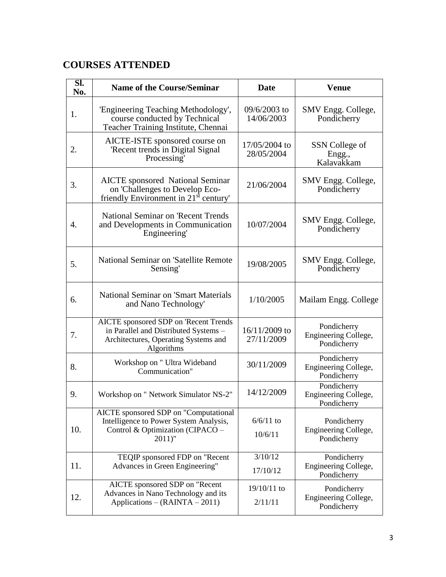# **COURSES ATTENDED**

| SI.<br>No. | <b>Name of the Course/Seminar</b>                                                                                                           | <b>Date</b>                 | <b>Venue</b>                                       |
|------------|---------------------------------------------------------------------------------------------------------------------------------------------|-----------------------------|----------------------------------------------------|
| 1.         | 'Engineering Teaching Methodology',<br>course conducted by Technical<br>Teacher Training Institute, Chennai                                 | 09/6/2003 to<br>14/06/2003  | SMV Engg. College,<br>Pondicherry                  |
| 2.         | AICTE-ISTE sponsored course on<br>'Recent trends in Digital Signal<br>Processing'                                                           | 17/05/2004 to<br>28/05/2004 | SSN College of<br>Engg.,<br>Kalavakkam             |
| 3.         | <b>AICTE</b> sponsored National Seminar<br>21/06/2004<br>on 'Challenges to Develop Eco-<br>friendly Environment in $21st$ century'          |                             | SMV Engg. College,<br>Pondicherry                  |
| 4.         | <b>National Seminar on 'Recent Trends</b><br>and Developments in Communication<br>Engineering'                                              | 10/07/2004                  | SMV Engg. College,<br>Pondicherry                  |
| 5.         | National Seminar on 'Satellite Remote<br>Sensing'                                                                                           | 19/08/2005                  | SMV Engg. College,<br>Pondicherry                  |
| 6.         | <b>National Seminar on 'Smart Materials</b><br>and Nano Technology'                                                                         | 1/10/2005                   | Mailam Engg. College                               |
| 7.         | <b>AICTE</b> sponsored SDP on 'Recent Trends<br>in Parallel and Distributed Systems -<br>Architectures, Operating Systems and<br>Algorithms | 16/11/2009 to<br>27/11/2009 | Pondicherry<br>Engineering College,<br>Pondicherry |
| 8.         | Workshop on " Ultra Wideband<br>Communication"                                                                                              | 30/11/2009                  | Pondicherry<br>Engineering College,<br>Pondicherry |
| 9.         | Workshop on " Network Simulator NS-2"                                                                                                       | 14/12/2009                  | Pondicherry<br>Engineering College,<br>Pondicherry |
| 10.        | AICTE sponsored SDP on "Computational<br>Intelligence to Power System Analysis,<br>Control & Optimization (CIPACO –<br>$2011$ "             | $6/6/11$ to<br>10/6/11      | Pondicherry<br>Engineering College,<br>Pondicherry |
| 11.        | TEQIP sponsored FDP on "Recent<br>Advances in Green Engineering"                                                                            | 3/10/12<br>17/10/12         | Pondicherry<br>Engineering College,<br>Pondicherry |
| 12.        | AICTE sponsored SDP on "Recent<br>Advances in Nano Technology and its<br>Applications - (RAINTA - 2011)                                     | 19/10/11 to<br>2/11/11      | Pondicherry<br>Engineering College,<br>Pondicherry |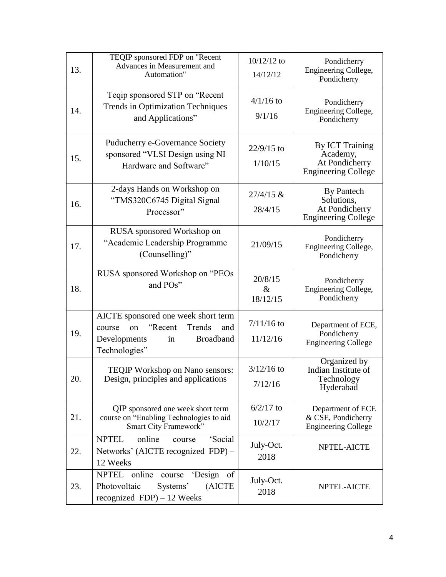| 13. | TEQIP sponsored FDP on "Recent<br>Advances in Measurement and<br>Automation"                                                                | $10/12/12$ to<br>14/12/12   | Pondicherry<br>Engineering College,<br>Pondicherry                                 |
|-----|---------------------------------------------------------------------------------------------------------------------------------------------|-----------------------------|------------------------------------------------------------------------------------|
| 14. | Teqip sponsored STP on "Recent<br><b>Trends in Optimization Techniques</b><br>and Applications"                                             | $4/1/16$ to<br>9/1/16       | Pondicherry<br>Engineering College,<br>Pondicherry                                 |
| 15. | Puducherry e-Governance Society<br>sponsored "VLSI Design using NI<br>Hardware and Software"                                                | $22/9/15$ to<br>1/10/15     | <b>By ICT Training</b><br>Academy,<br>At Pondicherry<br><b>Engineering College</b> |
| 16. | 2-days Hands on Workshop on<br>$27/4/15$ &<br>"TMS320C6745 Digital Signal<br>28/4/15<br>Processor"                                          |                             | By Pantech<br>Solutions,<br>At Pondicherry<br><b>Engineering College</b>           |
| 17. | RUSA sponsored Workshop on<br>"Academic Leadership Programme<br>21/09/15<br>(Counselling)"                                                  |                             | Pondicherry<br>Engineering College,<br>Pondicherry                                 |
| 18. | RUSA sponsored Workshop on "PEOs<br>and POs"                                                                                                | 20/8/15<br>$\&$<br>18/12/15 | Pondicherry<br>Engineering College,<br>Pondicherry                                 |
| 19. | AICTE sponsored one week short term<br>"Recent"<br>Trends<br>and<br>course<br>on<br>in<br>Developments<br><b>Broadband</b><br>Technologies" | $7/11/16$ to<br>11/12/16    | Department of ECE,<br>Pondicherry<br><b>Engineering College</b>                    |
| 20. | <b>TEQIP Workshop on Nano sensors:</b><br>Design, principles and applications                                                               | $3/12/16$ to<br>7/12/16     | Organized by<br>Indian Institute of<br>Technology<br>Hyderabad                     |
| 21. | QIP sponsored one week short term<br>course on "Enabling Technologies to aid<br>Smart City Framework"                                       | $6/2/17$ to<br>10/2/17      | Department of ECE<br>& CSE, Pondicherry<br><b>Engineering College</b>              |
| 22. | online<br>'Social<br><b>NPTEL</b><br>course<br>Networks' (AICTE recognized FDP) -<br>12 Weeks                                               | July-Oct.<br>2018           | NPTEL-AICTE                                                                        |
| 23. | NPTEL online course<br>'Design of<br>Photovoltaic<br>Systems'<br>(AICTE<br>recognized $FDP$ ) – 12 Weeks                                    | July-Oct.<br>2018           | NPTEL-AICTE                                                                        |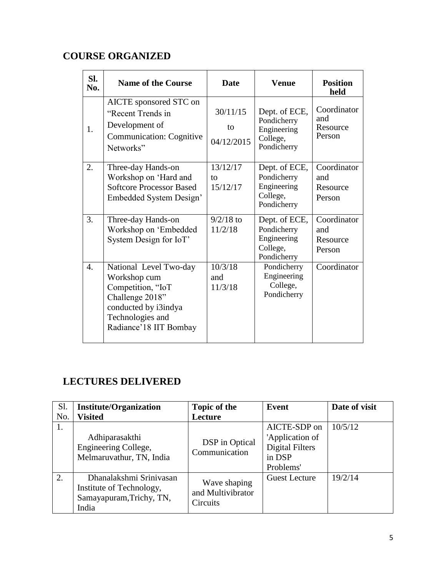# **COURSE ORGANIZED**

| SI.<br>No.       | <b>Name of the Course</b>                                                                                                                            | <b>Date</b>                  | <b>Venue</b>                                                           | <b>Position</b><br>held                  |
|------------------|------------------------------------------------------------------------------------------------------------------------------------------------------|------------------------------|------------------------------------------------------------------------|------------------------------------------|
| 1.               | AICTE sponsored STC on<br>"Recent Trends in<br>Development of<br>Communication: Cognitive<br>Networks"                                               | 30/11/15<br>to<br>04/12/2015 | Dept. of ECE,<br>Pondicherry<br>Engineering<br>College,<br>Pondicherry | Coordinator<br>and<br>Resource<br>Person |
| 2.               | Three-day Hands-on<br>Workshop on 'Hard and<br><b>Softcore Processor Based</b><br>Embedded System Design'                                            | 13/12/17<br>tο<br>15/12/17   | Dept. of ECE,<br>Pondicherry<br>Engineering<br>College,<br>Pondicherry | Coordinator<br>and<br>Resource<br>Person |
| 3.               | Three-day Hands-on<br>Workshop on 'Embedded<br>System Design for IoT'                                                                                | $9/2/18$ to<br>11/2/18       | Dept. of ECE,<br>Pondicherry<br>Engineering<br>College,<br>Pondicherry | Coordinator<br>and<br>Resource<br>Person |
| $\overline{4}$ . | National Level Two-day<br>Workshop cum<br>Competition, "IoT<br>Challenge 2018"<br>conducted by i3indya<br>Technologies and<br>Radiance'18 IIT Bombay | 10/3/18<br>and<br>11/3/18    | Pondicherry<br>Engineering<br>College,<br>Pondicherry                  | Coordinator                              |

# **LECTURES DELIVERED**

| <b>S1.</b> | <b>Institute/Organization</b>                                                            | <b>Topic of the</b>                           | Event                                                                            | Date of visit |
|------------|------------------------------------------------------------------------------------------|-----------------------------------------------|----------------------------------------------------------------------------------|---------------|
| No.        | <b>Visited</b>                                                                           | Lecture                                       |                                                                                  |               |
| 1.         | Adhiparasakthi<br>Engineering College,<br>Melmaruvathur, TN, India                       | DSP in Optical<br>Communication               | AICTE-SDP on<br>'Application of<br><b>Digital Filters</b><br>in DSP<br>Problems' | 10/5/12       |
| 2.         | Dhanalakshmi Sriniyasan<br>Institute of Technology,<br>Samayapuram, Trichy, TN,<br>India | Wave shaping<br>and Multivibrator<br>Circuits | <b>Guest Lecture</b>                                                             | 19/2/14       |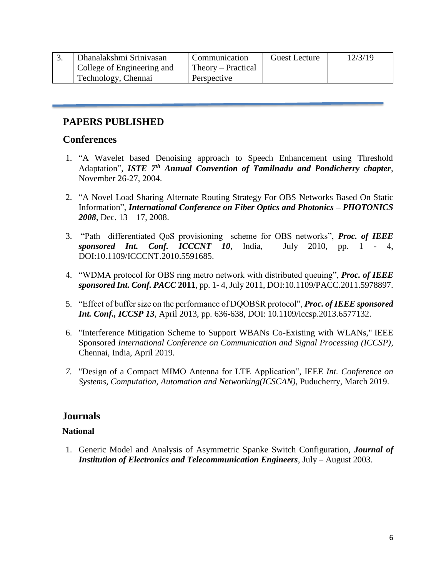| Dhanalakshmi Sriniyasan    | Communication      | Guest Lecture | 12/3/19 |
|----------------------------|--------------------|---------------|---------|
| College of Engineering and | Theory – Practical |               |         |
| Technology, Chennai        | Perspective        |               |         |

# **PAPERS PUBLISHED**

### **Conferences**

- 1. "A Wavelet based Denoising approach to Speech Enhancement using Threshold Adaptation", *ISTE 7th Annual Convention of Tamilnadu and Pondicherry chapter*, November 26-27, 2004.
- 2. "A Novel Load Sharing Alternate Routing Strategy For OBS Networks Based On Static Information", *International Conference on Fiber Optics and Photonics – PHOTONICS 2008*, Dec. 13 – 17, 2008.
- 3. "Path differentiated QoS provisioning scheme for OBS networks", *Proc. of IEEE sponsored Int. Conf. ICCCNT 10,* India, July 2010, pp. 1 - 4, DOI:10.1109/ICCCNT.2010.5591685.
- 4. "WDMA protocol for OBS ring metro network with distributed queuing", *Proc. of IEEE sponsored Int. Conf. PACC* **2011**, pp. 1- 4, July 2011, DOI:10.1109/PACC.2011.5978897.
- 5. "Effect of buffer size on the performance of DQOBSR protocol", *Proc. of IEEE sponsored Int. Conf., ICCSP 13*, April 2013, pp. 636-638, DOI: 10.1109/iccsp.2013.6577132.
- 6. "Interference Mitigation Scheme to Support WBANs Co-Existing with WLANs," IEEE Sponsored *International Conference on Communication and Signal Processing (ICCSP)*, Chennai, India, April 2019.
- *7.* "Design of a Compact MIMO Antenna for LTE Application", IEEE *Int. Conference on Systems, Computation, Automation and Networking(ICSCAN),* Puducherry, March 2019.

### **Journals**

#### **National**

1. Generic Model and Analysis of Asymmetric Spanke Switch Configuration, *Journal of Institution of Electronics and Telecommunication Engineers*, July – August 2003.